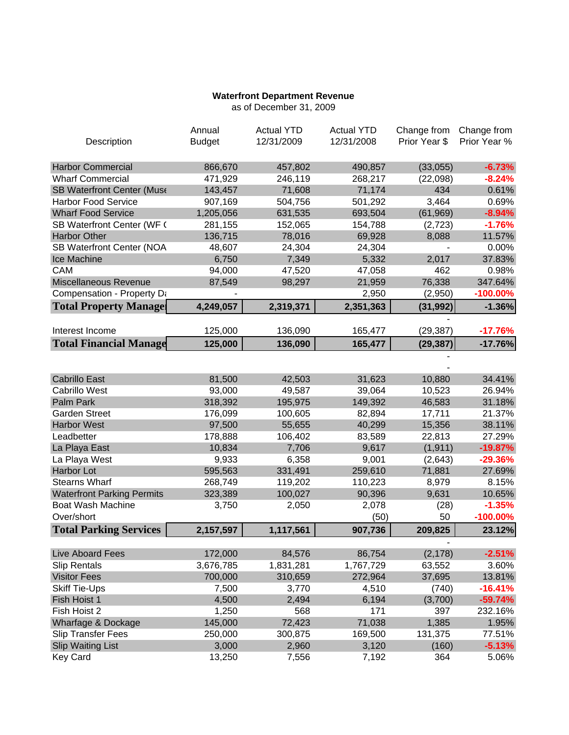## **Waterfront Department Revenue**

as of December 31, 2009

|                                   | Annual        | <b>Actual YTD</b> | <b>Actual YTD</b> | Change from   | Change from  |
|-----------------------------------|---------------|-------------------|-------------------|---------------|--------------|
| Description                       | <b>Budget</b> | 12/31/2009        | 12/31/2008        | Prior Year \$ | Prior Year % |
|                                   |               |                   |                   |               |              |
| <b>Harbor Commercial</b>          | 866,670       | 457,802           | 490,857           | (33,055)      | $-6.73%$     |
| <b>Wharf Commercial</b>           | 471,929       | 246,119           | 268,217           | (22,098)      | $-8.24%$     |
| <b>SB Waterfront Center (Muse</b> | 143,457       | 71,608            | 71,174            | 434           | 0.61%        |
| <b>Harbor Food Service</b>        | 907,169       | 504,756           | 501,292           | 3,464         | 0.69%        |
| <b>Wharf Food Service</b>         | 1,205,056     | 631,535           | 693,504           | (61, 969)     | $-8.94%$     |
| SB Waterfront Center (WF 0        | 281,155       | 152,065           | 154,788           | (2,723)       | $-1.76%$     |
| <b>Harbor Other</b>               | 136,715       | 78,016            | 69,928            | 8,088         | 11.57%       |
| <b>SB Waterfront Center (NOA</b>  | 48,607        | 24,304            | 24,304            |               | 0.00%        |
| Ice Machine                       | 6,750         | 7,349             | 5,332             | 2,017         | 37.83%       |
| CAM                               | 94,000        | 47,520            | 47,058            | 462           | 0.98%        |
| Miscellaneous Revenue             | 87,549        | 98,297            | 21,959            | 76,338        | 347.64%      |
| Compensation - Property Da        |               |                   | 2,950             | (2,950)       | $-100.00\%$  |
| <b>Total Property Managel</b>     | 4,249,057     | 2,319,371         | 2,351,363         | (31, 992)     | $-1.36%$     |
|                                   |               |                   |                   |               |              |
| Interest Income                   | 125,000       | 136,090           | 165,477           | (29, 387)     | $-17.76%$    |
| <b>Total Financial Manage</b>     | 125,000       | 136,090           | 165,477           | (29, 387)     | $-17.76%$    |
|                                   |               |                   |                   |               |              |
|                                   |               |                   |                   |               |              |
| <b>Cabrillo East</b>              | 81,500        | 42,503            | 31,623            | 10,880        | 34.41%       |
| <b>Cabrillo West</b>              | 93,000        | 49,587            | 39,064            | 10,523        | 26.94%       |
| Palm Park                         | 318,392       | 195,975           | 149,392           | 46,583        | 31.18%       |
| <b>Garden Street</b>              | 176,099       | 100,605           | 82,894            | 17,711        | 21.37%       |
| <b>Harbor West</b>                | 97,500        | 55,655            | 40,299            | 15,356        | 38.11%       |
| Leadbetter                        | 178,888       | 106,402           | 83,589            | 22,813        | 27.29%       |
| La Playa East                     | 10,834        | 7,706             | 9,617             | (1, 911)      | $-19.87%$    |
| La Playa West                     | 9,933         | 6,358             | 9,001             | (2,643)       | $-29.36%$    |
| Harbor Lot                        | 595,563       | 331,491           | 259,610           | 71,881        | 27.69%       |
| <b>Stearns Wharf</b>              | 268,749       | 119,202           | 110,223           | 8,979         | 8.15%        |
| <b>Waterfront Parking Permits</b> | 323,389       | 100,027           | 90,396            | 9,631         | 10.65%       |
| <b>Boat Wash Machine</b>          | 3,750         | 2,050             | 2,078             | (28)          | $-1.35%$     |
| Over/short                        |               |                   | (50)              | 50            | $-100.00\%$  |
| <b>Total Parking Services</b>     | 2,157,597     | 1,117,561         | 907,736           | 209,825       | 23.12%       |
|                                   |               |                   |                   |               |              |
| Live Aboard Fees                  | 172,000       | 84,576            | 86,754            | (2, 178)      | $-2.51%$     |
| <b>Slip Rentals</b>               | 3,676,785     | 1,831,281         | 1,767,729         | 63,552        | 3.60%        |
| <b>Visitor Fees</b>               | 700,000       | 310,659           | 272,964           | 37,695        | 13.81%       |
| <b>Skiff Tie-Ups</b>              | 7,500         | 3,770             | 4,510             | (740)         | $-16.41%$    |
| Fish Hoist 1                      | 4,500         | 2,494             | 6,194             | (3,700)       | $-59.74%$    |
| Fish Hoist 2                      | 1,250         | 568               | 171               | 397           | 232.16%      |
| Wharfage & Dockage                | 145,000       | 72,423            | 71,038            | 1,385         | 1.95%        |
| <b>Slip Transfer Fees</b>         | 250,000       | 300,875           | 169,500           | 131,375       | 77.51%       |
| <b>Slip Waiting List</b>          | 3,000         | 2,960             | 3,120             | (160)         | $-5.13%$     |
| <b>Key Card</b>                   | 13,250        | 7,556             | 7,192             | 364           | 5.06%        |